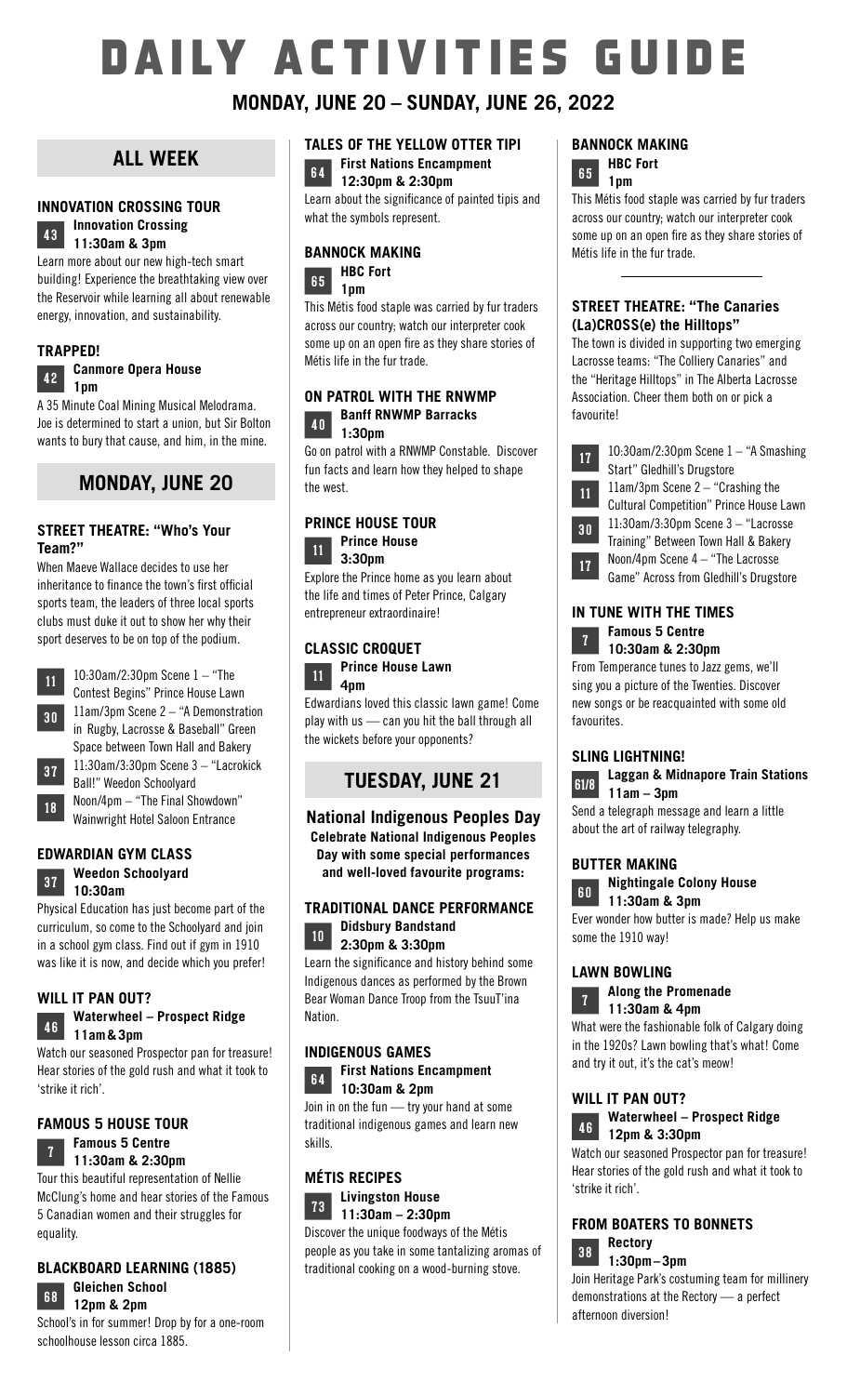# DAILY ACTIVITIES GUIDE

## **MONDAY, JUNE 20 – SUNDAY, JUNE 26, 2022**

## **ALL WEEK**

## **INNOVATION CROSSING TOUR**



**<sup>43</sup> Innovation Crossing 11:3Oam & 3pm**

Learn more about our new high-tech smart building! Experience the breathtaking view over the Reservoir while learning all about renewable energy, innovation, and sustainability.

#### **TRAPPED!**

#### **<sup>42</sup> Canmore Opera House 1pm**

A 35 Minute Coal Mining Musical Melodrama. Joe is determined to start a union, but Sir Bolton wants to bury that cause, and him, in the mine.

## **MONDAY, JUNE 20**

#### **STREET THEATRE: "Who's Your Team?"**

When Maeve Wallace decides to use her inheritance to finance the town's first official sports team, the leaders of three local sports clubs must duke it out to show her why their sport deserves to be on top of the podium.



11 10:30am/2:30pm Scene 1 – "The Contest Begins" Prince House Lawn **<sup>30</sup>** 11am/3pm Scene 2 – "A Demonstration in Rugby, Lacrosse & Baseball" Green Space between Town Hall and Bakery **<sup>37</sup>** 11:3Oam/3:3Opm Scene 3 – "Lacrokick Ball!" Weedon Schoolyard

18 Noon/4pm – "The Final Showdown" Wainwright Hotel Saloon Entrance

#### **EDWARDIAN GYM CLASS <sup>37</sup> Weedon Schoolyard 1O:3Oam**

Physical Education has just become part of the curriculum, so come to the Schoolyard and join in a school gym class. Find out if gym in 1910 was like it is now, and decide which you prefer!

## **WILL IT PAN OUT?**

## **<sup>46</sup> Waterwheel – Prospect Ridge 11am&3pm**

Watch our seasoned Prospector pan for treasure! Hear stories of the gold rush and what it took to 'strike it rich'.

## **FAMOUS 5 HOUSE TOUR**

#### **<sup>7</sup> Famous 5 Centre 11:3Oam & 2:30pm**

Tour this beautiful representation of Nellie McClung's home and hear stories of the Famous 5 Canadian women and their struggles for equality.

## **BLACKBOARD LEARNING (1885)**



**12pm & 2pm** School's in for summer! Drop by for a one-room schoolhouse lesson circa 1885.

#### **TALES OF THE YELLOW OTTER TIPI <sup>64</sup> First Nations Encampment 12:3Opm & 2:3Opm**

Learn about the significance of painted tipis and what the symbols represent.

#### **BANNOCK MAKING**

**6 5 HBC Fort 1pm**

This Métis food staple was carried by fur traders across our country; watch our interpreter cook some up on an open fire as they share stories of Métis life in the fur trade.

#### **ON PATROL WITH THE RNWMP <sup>40</sup> Banff RNWMP Barracks 1:30pm**

Go on patrol with a RNWMP Constable. Discover fun facts and learn how they helped to shape the west.

## **PRINCE HOUSE TOUR**



Explore the Prince home as you learn about the life and times of Peter Prince, Calgary entrepreneur extraordinaire!

#### **CLASSIC CROQUET**



Edwardians loved this classic lawn game! Come play with us — can you hit the ball through all the wickets before your opponents?

## **TUESDAY, JUNE 21**

## **National Indigenous Peoples Day Celebrate National Indigenous Peoples Day with some special performances**

**and well-loved favourite programs:**

#### **TRADITIONAL DANCE PERFORMANCE <sup>10</sup> Didsbury Bandstand 2:30pm & 3:30pm**

Learn the significance and history behind some Indigenous dances as performed by the Brown Bear Woman Dance Troop from the TsuuT'ina **Nation** 

#### **INDIGENOUS GAMES <sup>64</sup> First Nations Encampment 10:3Oam & 2pm**

Join in on the fun — try your hand at some traditional indigenous games and learn new skills.

## **MÉTIS RECIPES**



**7 3 Livingston House 11:3Oam – 2:3Opm** Discover the unique foodways of the Métis people as you take in some tantalizing aromas of traditional cooking on a wood-burning stove.

#### **BANNOCK MAKING 65** HBC Fort **1pm**

This Métis food staple was carried by fur traders across our country; watch our interpreter cook some up on an open fire as they share stories of Métis life in the fur trade.

#### **STREET THEATRE: "The Canaries (La)CROSS(e) the Hilltops"**

The town is divided in supporting two emerging Lacrosse teams: "The Colliery Canaries" and the "Heritage Hilltops" in The Alberta Lacrosse Association. Cheer them both on or pick a favourite!

| 17 | 10:30am/2:30pm Scene $1 -$ "A Smashing         |
|----|------------------------------------------------|
|    | Start" Gledhill's Drugstore                    |
| 11 | $11$ am/ $3$ pm Scene $2-$ "Crashing the       |
|    | <b>Cultural Competition" Prince House Lawn</b> |
| 30 | $11:30$ am/3:30pm Scene $3-$ "Lacrosse         |
|    | Training" Between Town Hall & Bakery           |
| 17 | Noon/4pm Scene $4-$ "The Lacrosse              |
|    | Game" Across from Gledhill's Drugstore         |
|    |                                                |

#### **IN TUNE WITH THE TIMES <sup>7</sup> Famous 5 Centre 10:3Oam & 2:30pm**

From Temperance tunes to Jazz gems, we'll sing you a picture of the Twenties. Discover new songs or be reacquainted with some old favourites.

## **SLING LIGHTNING!**

## **61/8 Laggan & Midnapore Train Stations 11am – 3pm**

Send a telegraph message and learn a little about the art of railway telegraphy.

## **BUTTER MAKING**



**<sup>60</sup> Nightingale Colony House 11:3Oam & 3pm**

Ever wonder how butter is made? Help us make some the 1910 way!

#### **LAWN BOWLING**

**<sup>7</sup> Along the Promenade 11:3Oam & 4pm**

What were the fashionable folk of Calgary doing in the 1920s? Lawn bowling that's what! Come and try it out, it's the cat's meow!

## **WILL IT PAN OUT?**



**<sup>46</sup> Waterwheel – Prospect Ridge 12pm & 3:30pm**

Watch our seasoned Prospector pan for treasure! Hear stories of the gold rush and what it took to 'strike it rich'.

## **FROM BOATERS TO BONNETS <sup>38</sup> Rectory 1:3Opm–3pm**

Join Heritage Park's costuming team for millinery demonstrations at the Rectory — a perfect afternoon diversion!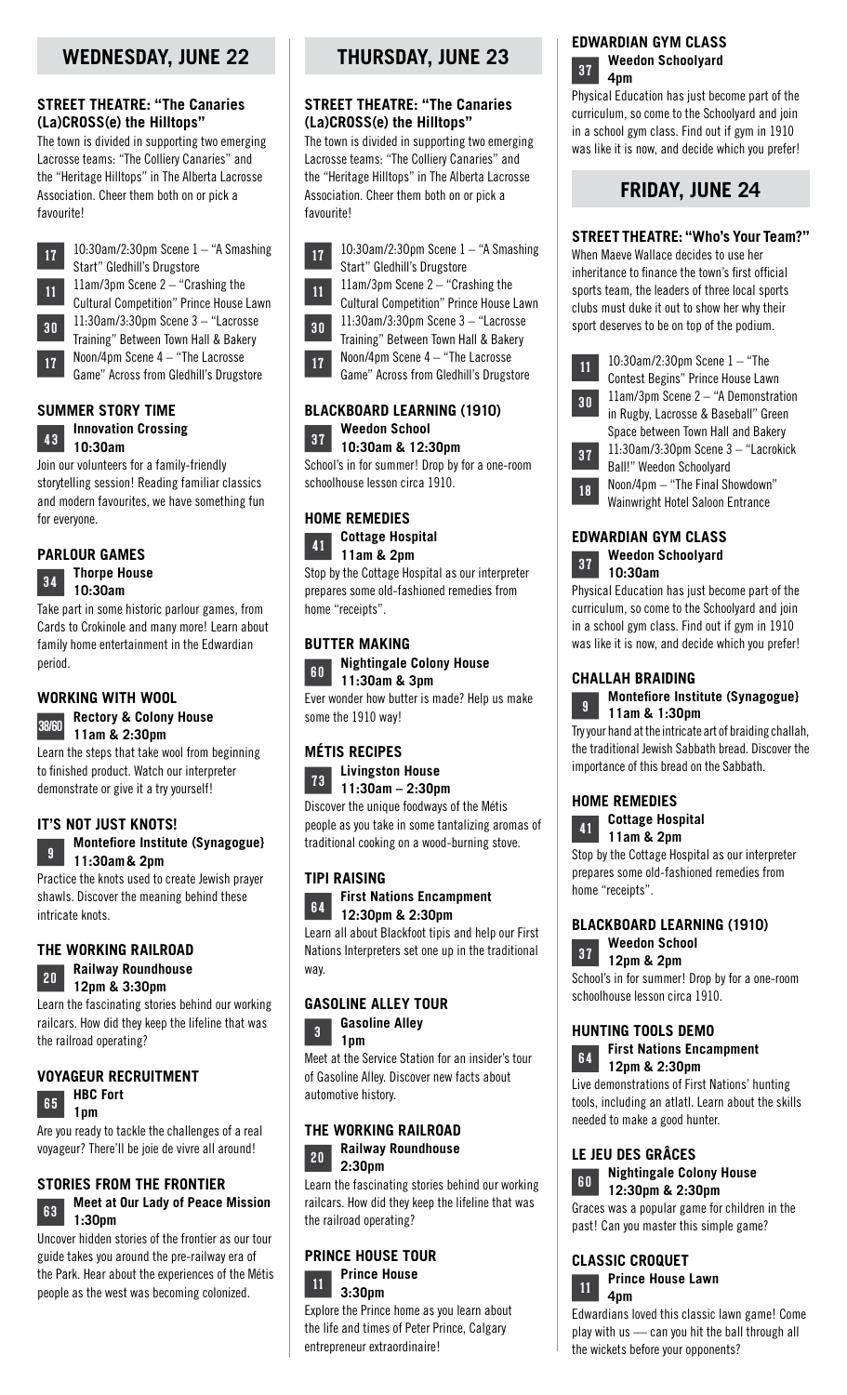## **STREET THEATRE: "The Canaries (La)CROSS(e) the Hilltops"**

The town is divided in supporting two emerging Lacrosse teams: "The Colliery Canaries" and the "Heritage Hilltops" in The Alberta Lacrosse Association. Cheer them both on or pick a favourite!



**17** 10:30am/2:30pm Scene 1 – "A Smashing Start" Gledhill's Drugstore 11 11am/3pm Scene 2 – "Crashing the Cultural Competition" Prince House Lawn **<sup>30</sup>** 11:3Oam/3:3Opm Scene 3 – "Lacrosse Training" Between Town Hall & Bakery

**17** Noon/4pm Scene 4 – "The Lacrosse Game" Across from Gledhill's Drugstore

## **SUMMER STORY TIME**

#### **<sup>43</sup> Innovation Crossing 1O:3Oam**

Join our volunteers for a family-friendly storytelling session! Reading familiar classics and modern favourites, we have something fun for everyone.



Take part in some historic parlour games, from Cards to Crokinole and many more! Learn about family home entertainment in the Edwardian period.

## **WORKING WITH WOOL**

## **38/60 Rectory & Colony House 11am & 2:3Opm**

Learn the steps that take wool from beginning to finished product. Watch our interpreter demonstrate or give it a try yourself!

## **IT'S NOT JUST KNOTS!**



**<sup>9</sup> Montefiore Institute (Synagogue} 11:3Oam& 2pm**

Practice the knots used to create Jewish prayer shawls. Discover the meaning behind these intricate knots.

## **THE WORKING RAILROAD**



**<sup>20</sup> Railway Roundhouse 12pm & 3:30pm**

Learn the fascinating stories behind our working railcars. How did they keep the lifeline that was the railroad operating?

## **VOYAGEUR RECRUITMENT**



Are you ready to tackle the challenges of a real voyageur? There'll be joie de vivre all around!

## **STORIES FROM THE FRONTIER**

## **6 3 Meet at Our Lady of Peace Mission 1:30pm**

Uncover hidden stories of the frontier as our tour guide takes you around the pre-railway era of the Park. Hear about the experiences of the Métis people as the west was becoming colonized.

## **THURSDAY, JUNE 23**

## **STREET THEATRE: "The Canaries (La)CROSS(e) the Hilltops"**

The town is divided in supporting two emerging Lacrosse teams: "The Colliery Canaries" and the "Heritage Hilltops" in The Alberta Lacrosse Association. Cheer them both on or pick a favourite!

**17** 10:30am/2:30pm Scene 1 – "A Smashing Start" Gledhill's Drugstore



**11** 11am/3pm Scene 2 – "Crashing the Cultural Competition" Prince House Lawn

**<sup>30</sup>** 11:3Oam/3:3Opm Scene 3 – "Lacrosse Training" Between Town Hall & Bakery

**17** Noon/4pm Scene 4 – "The Lacrosse Game" Across from Gledhill's Drugstore

## **BLACKBOARD LEARNING (1910) Weedon School**

**1O:3Oam & 12:3Opm** School's in for summer! Drop by for a one-room schoolhouse lesson circa 1910.

## **HOME REMEDIES**



Stop by the Cottage Hospital as our interpreter prepares some old-fashioned remedies from home "receipts".

## **BUTTER MAKING**

**60 Nightingale Colony House 11:3Oam & 3pm**

Ever wonder how butter is made? Help us make some the 1910 way!

## **MÉTIS RECIPES**

**7 3 Livingston House 11:3Oam – 2:3Opm**

Discover the unique foodways of the Métis people as you take in some tantalizing aromas of traditional cooking on a wood-burning stove.

## **TIPI RAISING**



Learn all about Blackfoot tipis and help our First Nations Interpreters set one up in the traditional way.

## **GASOLINE ALLEY TOUR**



**<sup>3</sup> Gasoline Alley 1pm**



## **THE WORKING RAILROAD**

#### **<sup>20</sup> Railway Roundhouse 2:3Opm**

Learn the fascinating stories behind our working railcars. How did they keep the lifeline that was the railroad operating?

## **PRINCE HOUSE TOUR 1 1 Prince House 3:3Opm**

Explore the Prince home as you learn about the life and times of Peter Prince, Calgary entrepreneur extraordinaire!

## **EDWARDIAN GYM CLASS**



Physical Education has just become part of the curriculum, so come to the Schoolyard and join in a school gym class. Find out if gym in 1910 was like it is now, and decide which you prefer!

## **FRIDAY, JUNE 24**

## **STREET THEATRE: "Who's Your Team?"**

When Maeve Wallace decides to use her inheritance to finance the town's first official sports team, the leaders of three local sports clubs must duke it out to show her why their sport deserves to be on top of the podium.



**11** 10:30am/2:30pm Scene 1 – "The Contest Begins" Prince House Lawn **<sup>30</sup>** 11am/3pm Scene 2 – "A Demonstration in Rugby, Lacrosse & Baseball" Green Space between Town Hall and Bakery **<sup>37</sup>** 11:3Oam/3:3Opm Scene 3 – "Lacrokick Ball!" Weedon Schoolyard **18** Noon/4pm – "The Final Showdown"

Wainwright Hotel Saloon Entrance

## **EDWARDIAN GYM CLASS**



Physical Education has just become part of the curriculum, so come to the Schoolyard and join in a school gym class. Find out if gym in 1910 was like it is now, and decide which you prefer!

## **CHALLAH BRAIDING**

**<sup>9</sup> Montefiore Institute (Synagogue} 11am & 1:3Opm**

Try your hand at the intricate art of braiding challah, the traditional Jewish Sabbath bread. Discover the importance of this bread on the Sabbath.

## **HOME REMEDIES**



Stop by the Cottage Hospital as our interpreter prepares some old-fashioned remedies from home "receipts".

## **BLACKBOARD LEARNING (1910)**



School's in for summer! Drop by for a one-room schoolhouse lesson circa 1910.

## **HUNTING TOOLS DEMO**

**<sup>64</sup> First Nations Encampment 12pm & 2:3Opm**

Live demonstrations of First Nations' hunting tools, including an atlatl. Learn about the skills needed to make a good hunter.

## **LE JEU DES GRÂCES**

**<sup>60</sup> Nightingale Colony House 12:3Opm & 2:3Opm**

Graces was a popular game for children in the past! Can you master this simple game?

## **CLASSIC CROQUET**



Edwardians loved this classic lawn game! Come play with us — can you hit the ball through all the wickets before your opponents?